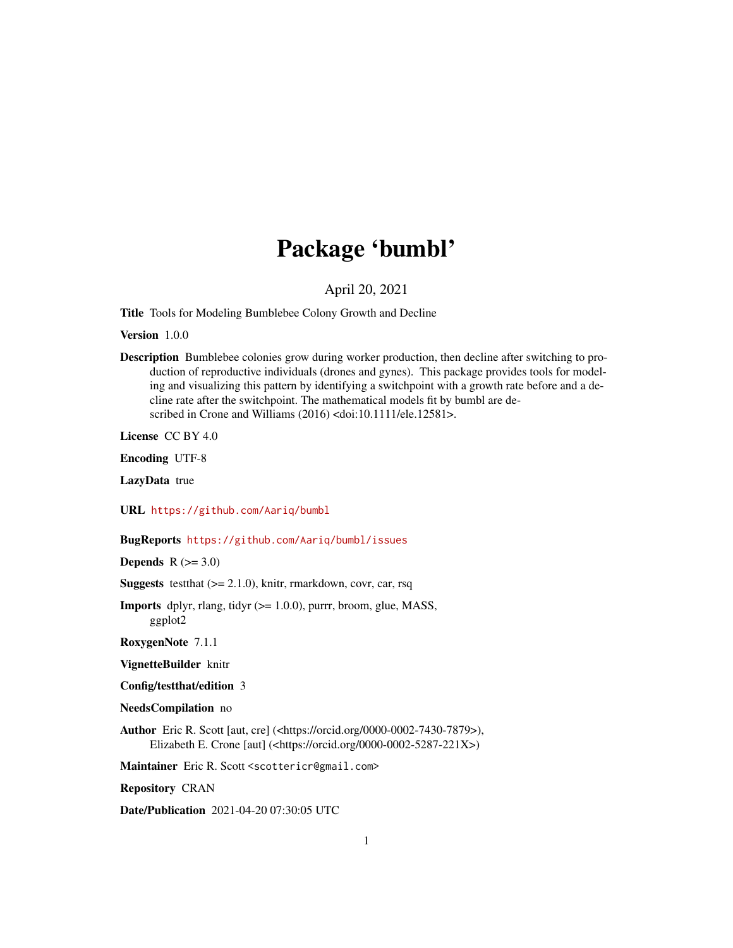## Package 'bumbl'

#### April 20, 2021

<span id="page-0-0"></span>Title Tools for Modeling Bumblebee Colony Growth and Decline

Version 1.0.0

Description Bumblebee colonies grow during worker production, then decline after switching to production of reproductive individuals (drones and gynes). This package provides tools for modeling and visualizing this pattern by identifying a switchpoint with a growth rate before and a decline rate after the switchpoint. The mathematical models fit by bumbl are described in Crone and Williams (2016) <doi:10.1111/ele.12581>.

License CC BY 4.0

Encoding UTF-8

LazyData true

URL <https://github.com/Aariq/bumbl>

BugReports <https://github.com/Aariq/bumbl/issues>

**Depends**  $R (=3.0)$ 

**Suggests** test that  $(>= 2.1.0)$ , knitr, rmarkdown, covr, car, rsq

**Imports** dplyr, rlang, tidyr  $(>= 1.0.0)$ , purrr, broom, glue, MASS, ggplot2

RoxygenNote 7.1.1

VignetteBuilder knitr

Config/testthat/edition 3

NeedsCompilation no

Author Eric R. Scott [aut, cre] (<https://orcid.org/0000-0002-7430-7879>), Elizabeth E. Crone [aut] (<https://orcid.org/0000-0002-5287-221X>)

Maintainer Eric R. Scott <scottericr@gmail.com>

Repository CRAN

Date/Publication 2021-04-20 07:30:05 UTC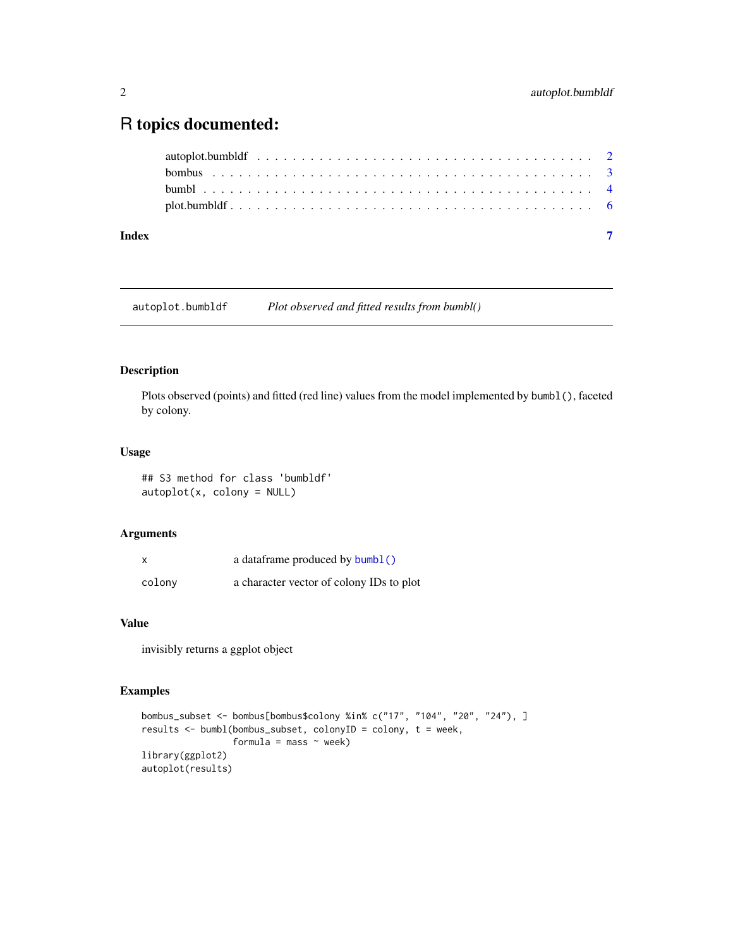### <span id="page-1-0"></span>R topics documented:

| Index |  |
|-------|--|

<span id="page-1-1"></span>autoplot.bumbldf *Plot observed and fitted results from bumbl()*

#### Description

Plots observed (points) and fitted (red line) values from the model implemented by bumbl(), faceted by colony.

#### Usage

## S3 method for class 'bumbldf' autoplot(x, colony = NULL)

#### Arguments

| X      | a dataframe produced by <b>bumbl</b> ()  |
|--------|------------------------------------------|
| colony | a character vector of colony IDs to plot |

#### Value

invisibly returns a ggplot object

#### Examples

```
bombus_subset <- bombus[bombus$colony %in% c("17", "104", "20", "24"), ]
results <- bumbl(bombus_subset, colonyID = colony, t = week,
                 formula = mass \sim week)
library(ggplot2)
autoplot(results)
```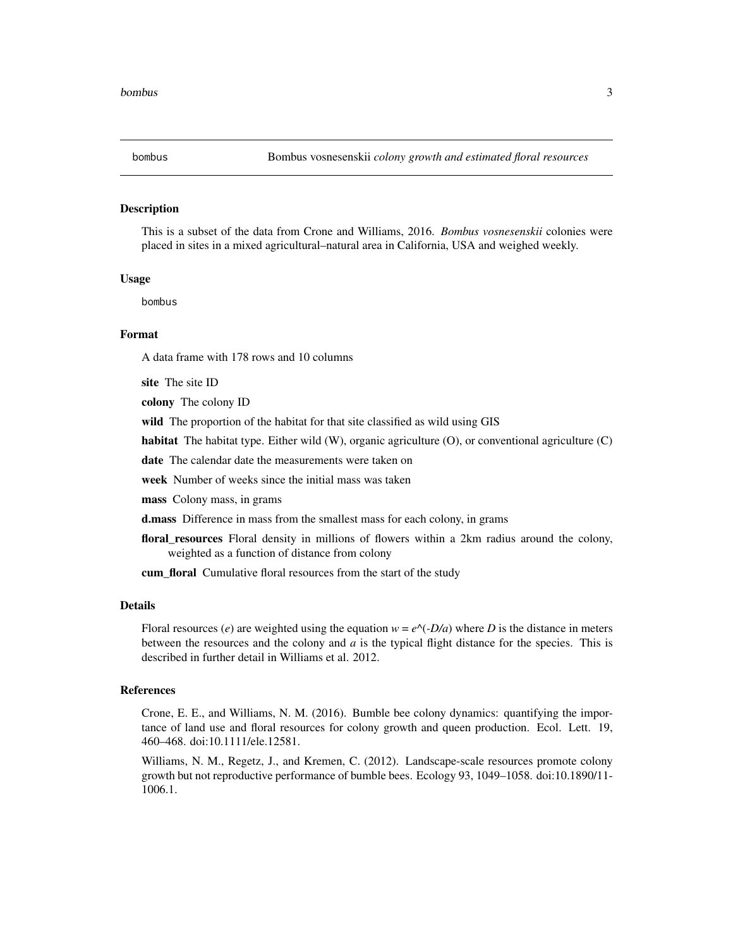<span id="page-2-0"></span>

#### Description

This is a subset of the data from Crone and Williams, 2016. *Bombus vosnesenskii* colonies were placed in sites in a mixed agricultural–natural area in California, USA and weighed weekly.

#### Usage

bombus

#### Format

A data frame with 178 rows and 10 columns

site The site ID

colony The colony ID

wild The proportion of the habitat for that site classified as wild using GIS

habitat The habitat type. Either wild (W), organic agriculture (O), or conventional agriculture (C)

date The calendar date the measurements were taken on

week Number of weeks since the initial mass was taken

mass Colony mass, in grams

d.mass Difference in mass from the smallest mass for each colony, in grams

floral\_resources Floral density in millions of flowers within a 2km radius around the colony, weighted as a function of distance from colony

cum\_floral Cumulative floral resources from the start of the study

#### Details

Floral resources (*e*) are weighted using the equation  $w = e^{\Lambda}(-D/a)$  where *D* is the distance in meters between the resources and the colony and *a* is the typical flight distance for the species. This is described in further detail in Williams et al. 2012.

#### References

Crone, E. E., and Williams, N. M. (2016). Bumble bee colony dynamics: quantifying the importance of land use and floral resources for colony growth and queen production. Ecol. Lett. 19, 460–468. doi:10.1111/ele.12581.

Williams, N. M., Regetz, J., and Kremen, C. (2012). Landscape-scale resources promote colony growth but not reproductive performance of bumble bees. Ecology 93, 1049–1058. doi:10.1890/11- 1006.1.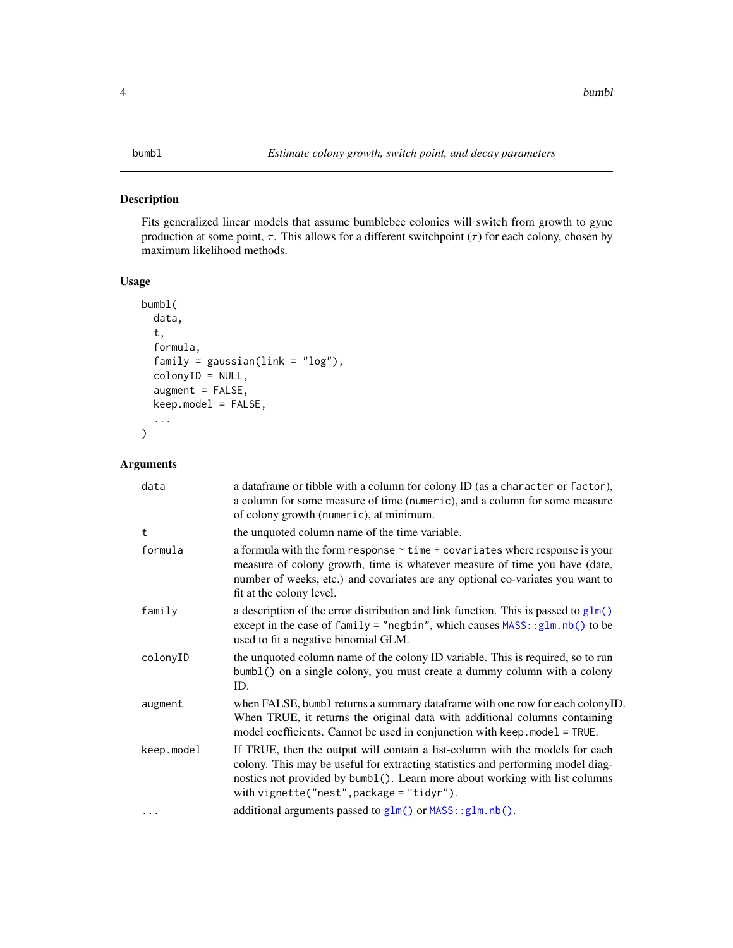#### <span id="page-3-1"></span><span id="page-3-0"></span>Description

Fits generalized linear models that assume bumblebee colonies will switch from growth to gyne production at some point,  $\tau$ . This allows for a different switchpoint ( $\tau$ ) for each colony, chosen by maximum likelihood methods.

#### Usage

```
bumbl(
 data,
  t,
  formula,
  family = gaussian(line = "log"),
  colonyID = NULL,
  augment = FALSE,keep.model = FALSE,
  ...
)
```
#### Arguments

| data       | a dataframe or tibble with a column for colony ID (as a character or factor),<br>a column for some measure of time (numeric), and a column for some measure<br>of colony growth (numeric), at minimum.                                                                                       |
|------------|----------------------------------------------------------------------------------------------------------------------------------------------------------------------------------------------------------------------------------------------------------------------------------------------|
| t          | the unquoted column name of the time variable.                                                                                                                                                                                                                                               |
| formula    | a formula with the form response $\sim$ time + covariates where response is your<br>measure of colony growth, time is whatever measure of time you have (date,<br>number of weeks, etc.) and covariates are any optional co-variates you want to<br>fit at the colony level.                 |
| family     | a description of the error distribution and link function. This is passed to $glm()$<br>except in the case of family = "negbin", which causes $MASS: glm.nb$ () to be<br>used to fit a negative binomial GLM.                                                                                |
| colonyID   | the unquoted column name of the colony ID variable. This is required, so to run<br>bumb1() on a single colony, you must create a dummy column with a colony<br>ID.                                                                                                                           |
| augment    | when FALSE, bumbl returns a summary dataframe with one row for each colonyID.<br>When TRUE, it returns the original data with additional columns containing<br>model coefficients. Cannot be used in conjunction with keep model = TRUE.                                                     |
| keep.model | If TRUE, then the output will contain a list-column with the models for each<br>colony. This may be useful for extracting statistics and performing model diag-<br>nostics not provided by bumb1(). Learn more about working with list columns<br>with $vigner('nest'', package = "tidyr").$ |
| .          | additional arguments passed to glm() or MASS::glm.nb().                                                                                                                                                                                                                                      |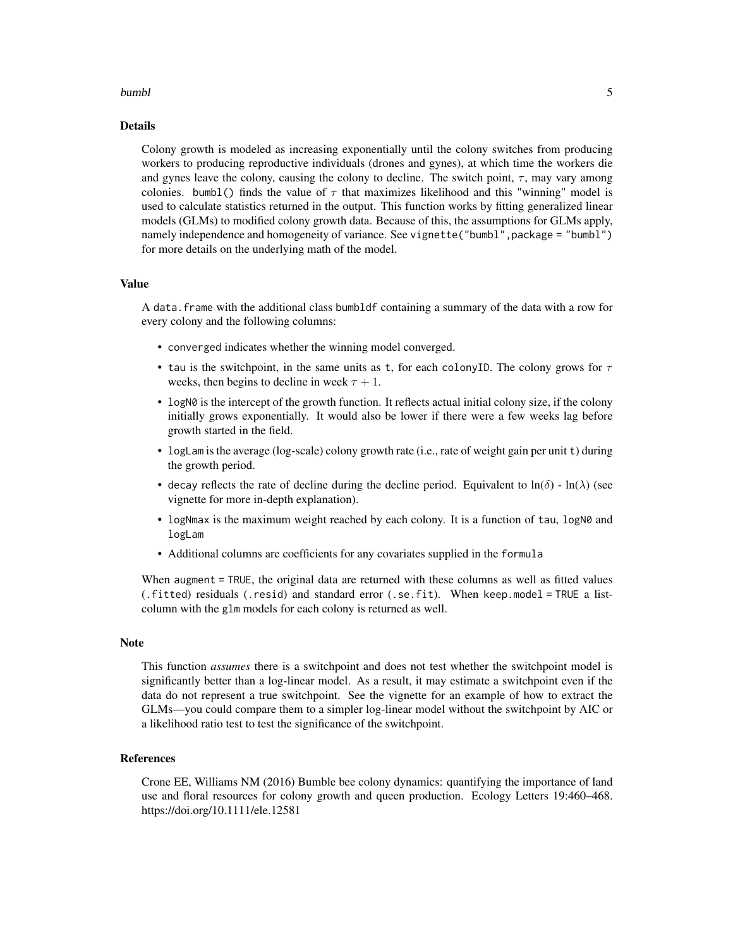#### bumbles and the contract of the contract of the contract of the contract of the contract of the contract of the contract of the contract of the contract of the contract of the contract of the contract of the contract of th

#### Details

Colony growth is modeled as increasing exponentially until the colony switches from producing workers to producing reproductive individuals (drones and gynes), at which time the workers die and gynes leave the colony, causing the colony to decline. The switch point,  $\tau$ , may vary among colonies. bumbl() finds the value of  $\tau$  that maximizes likelihood and this "winning" model is used to calculate statistics returned in the output. This function works by fitting generalized linear models (GLMs) to modified colony growth data. Because of this, the assumptions for GLMs apply, namely independence and homogeneity of variance. See vignette("bumbl", package = "bumbl") for more details on the underlying math of the model.

#### Value

A data.frame with the additional class bumbldf containing a summary of the data with a row for every colony and the following columns:

- converged indicates whether the winning model converged.
- tau is the switchpoint, in the same units as t, for each colonyID. The colony grows for  $\tau$ weeks, then begins to decline in week  $\tau + 1$ .
- logN0 is the intercept of the growth function. It reflects actual initial colony size, if the colony initially grows exponentially. It would also be lower if there were a few weeks lag before growth started in the field.
- logLam is the average (log-scale) colony growth rate (i.e., rate of weight gain per unit t) during the growth period.
- decay reflects the rate of decline during the decline period. Equivalent to  $\ln(\delta)$   $\ln(\lambda)$  (see vignette for more in-depth explanation).
- logNmax is the maximum weight reached by each colony. It is a function of tau, logN0 and logLam
- Additional columns are coefficients for any covariates supplied in the formula

When augment = TRUE, the original data are returned with these columns as well as fitted values (.fitted) residuals (.resid) and standard error (.se.fit). When keep.model = TRUE a listcolumn with the glm models for each colony is returned as well.

#### Note

This function *assumes* there is a switchpoint and does not test whether the switchpoint model is significantly better than a log-linear model. As a result, it may estimate a switchpoint even if the data do not represent a true switchpoint. See the vignette for an example of how to extract the GLMs—you could compare them to a simpler log-linear model without the switchpoint by AIC or a likelihood ratio test to test the significance of the switchpoint.

#### References

Crone EE, Williams NM (2016) Bumble bee colony dynamics: quantifying the importance of land use and floral resources for colony growth and queen production. Ecology Letters 19:460–468. https://doi.org/10.1111/ele.12581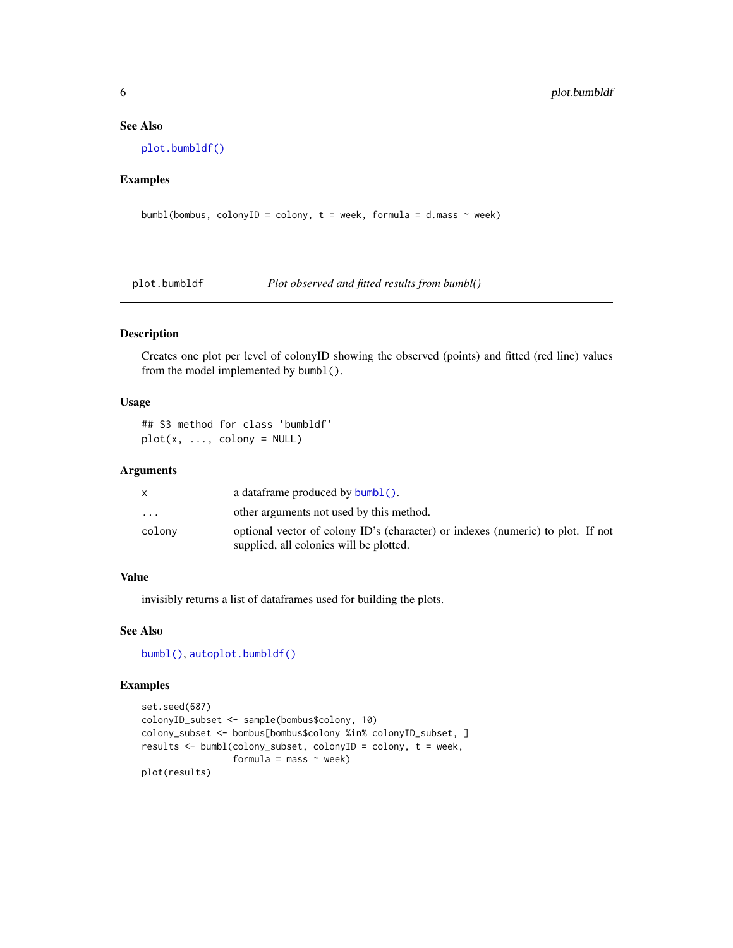#### See Also

[plot.bumbldf\(\)](#page-5-1)

#### Examples

```
bumbl(bombus, colonyID = colony, t = week, formula = d.mass \sim week)
```

```
plot.bumbldf Plot observed and fitted results from bumbl()
```
#### Description

Creates one plot per level of colonyID showing the observed (points) and fitted (red line) values from the model implemented by bumbl().

#### Usage

## S3 method for class 'bumbldf'  $plot(x, ..., colony = NULL)$ 

#### Arguments

|           | a data frame produced by $\text{bumbl}()$ .                                                                                |
|-----------|----------------------------------------------------------------------------------------------------------------------------|
| $\ddotsc$ | other arguments not used by this method.                                                                                   |
| colony    | optional vector of colony ID's (character) or indexes (numeric) to plot. If not<br>supplied, all colonies will be plotted. |

#### Value

invisibly returns a list of dataframes used for building the plots.

#### See Also

[bumbl\(\)](#page-3-1), [autoplot.bumbldf\(\)](#page-1-1)

#### Examples

```
set.seed(687)
colonyID_subset <- sample(bombus$colony, 10)
colony_subset <- bombus[bombus$colony %in% colonyID_subset, ]
results <- bumbl(colony_subset, colonyID = colony, t = week,
                 formula = mass \sim week)
plot(results)
```
<span id="page-5-0"></span>